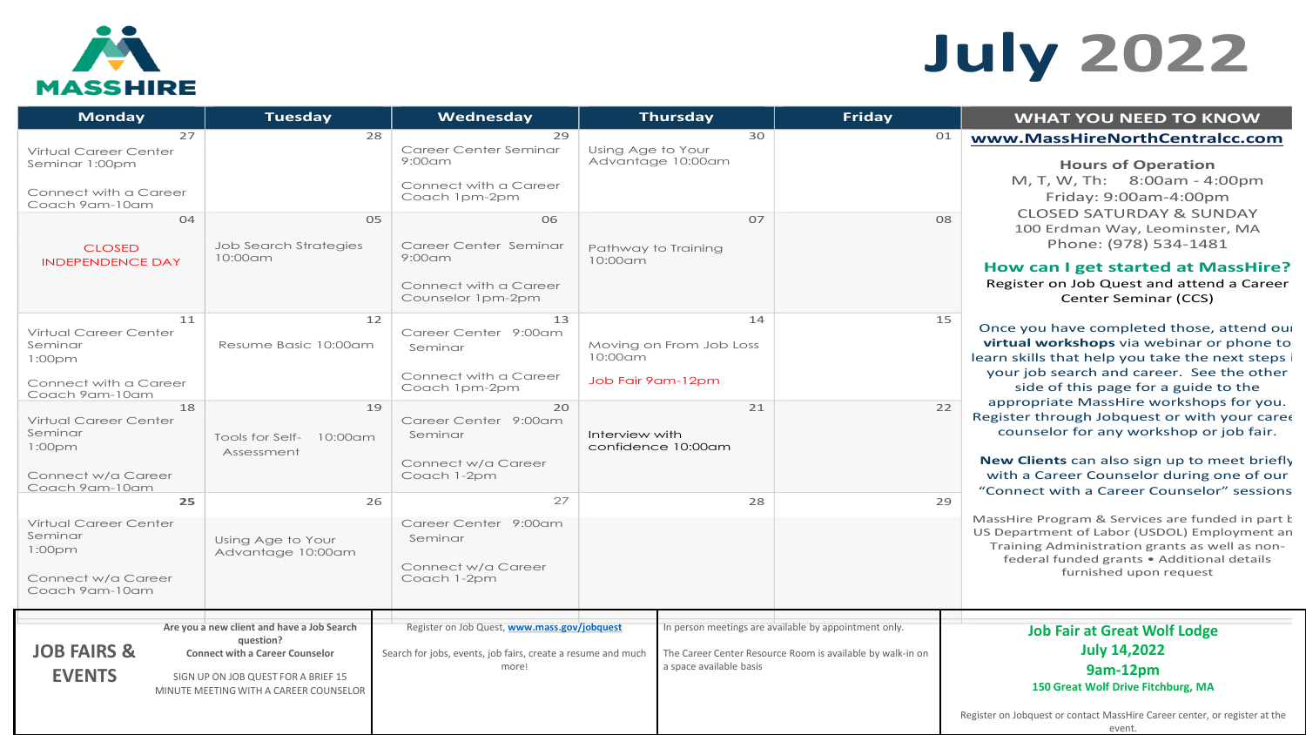

# **July 2022**

| <b>Monday</b>                                                                                                                                                                                                   | <b>Tuesday</b>                                                                                                                                                                     | Wednesday                                                                                                                                                                    |                                                     | <b>Thursday</b>                                           | Friday                                                                                                              | <b>WHAT YOU NEED TO KNOW</b>                                                                                                                                                                                                                                                                                                                                                                                                                                                                                    |  |
|-----------------------------------------------------------------------------------------------------------------------------------------------------------------------------------------------------------------|------------------------------------------------------------------------------------------------------------------------------------------------------------------------------------|------------------------------------------------------------------------------------------------------------------------------------------------------------------------------|-----------------------------------------------------|-----------------------------------------------------------|---------------------------------------------------------------------------------------------------------------------|-----------------------------------------------------------------------------------------------------------------------------------------------------------------------------------------------------------------------------------------------------------------------------------------------------------------------------------------------------------------------------------------------------------------------------------------------------------------------------------------------------------------|--|
| 27<br>Virtual Career Center<br>Seminar 1:00pm<br>Connect with a Career<br>Coach 9am-10am<br>04<br><b>CLOSED</b><br><b>INDEPENDENCE DAY</b>                                                                      | 28<br>05<br>Job Search Strategies<br>10:00am                                                                                                                                       | 29<br>Career Center Seminar<br>$9:00$ am<br>Connect with a Career<br>Coach 1pm-2pm<br>06<br>Career Center Seminar<br>$9:00$ am<br>Connect with a Career<br>Counselor 1pm-2pm | Using Age to Your<br>Pathway to Training<br>10:00am | 30<br>Advantage 10:00am<br>07                             | 01<br>08                                                                                                            | www.MassHireNorthCentralcc.com<br><b>Hours of Operation</b><br>M, T, W, Th: 8:00am - 4:00pm<br>Friday: 9:00am-4:00pm<br><b>CLOSED SATURDAY &amp; SUNDAY</b><br>100 Erdman Way, Leominster, MA<br>Phone: (978) 534-1481<br>How can I get started at MassHire?<br>Register on Job Quest and attend a Career<br>Center Seminar (CCS)                                                                                                                                                                               |  |
| 11<br>Virtual Career Center<br>Seminar<br>1:00 <sub>pm</sub><br>Connect with a Career<br>Coach 9am-10am<br>18<br>Virtual Career Center<br>Seminar<br>1:00 <sub>pm</sub><br>Connect w/a Career<br>Coach 9am-10am | 12<br>Resume Basic 10:00am<br>19<br>Tools for Self- 10:00am<br>Assessment                                                                                                          | 13<br>Career Center 9:00am<br>Seminar<br>Connect with a Career<br>Coach 1pm-2pm<br>20<br>Career Center 9:00am<br>Seminar<br>Connect w/a Career<br>Coach 1-2pm                | 10:00am<br>Job Fair 9am-12pm<br>Interview with      | 14<br>Moving on From Job Loss<br>21<br>confidence 10:00am | 15<br>22                                                                                                            | Once you have completed those, attend our<br>virtual workshops via webinar or phone to<br>learn skills that help you take the next steps i<br>your job search and career. See the other<br>side of this page for a guide to the<br>appropriate MassHire workshops for you.<br>Register through Jobquest or with your care<br>counselor for any workshop or job fair.<br>New Clients can also sign up to meet briefly<br>with a Career Counselor during one of our<br>"Connect with a Career Counselor" sessions |  |
| 25<br>Virtual Career Center<br>Seminar<br>1:00 <sub>pm</sub><br>Connect w/a Career<br>Coach 9am-10am                                                                                                            | 26<br>Using Age to Your<br>Advantage 10:00am                                                                                                                                       | 27<br>Career Center 9:00am<br>Seminar<br>Connect w/a Career<br>Coach 1-2pm                                                                                                   |                                                     | 28                                                        |                                                                                                                     | 29<br>MassHire Program & Services are funded in part k<br>US Department of Labor (USDOL) Employment an<br>Training Administration grants as well as non-<br>federal funded grants . Additional details<br>furnished upon request                                                                                                                                                                                                                                                                                |  |
| <b>JOB FAIRS &amp;</b><br><b>EVENTS</b>                                                                                                                                                                         | Are you a new client and have a Job Search<br>question?<br><b>Connect with a Career Counselor</b><br>SIGN UP ON JOB QUEST FOR A BRIEF 15<br>MINUTE MEETING WITH A CAREER COUNSELOR | Register on Job Quest, www.mass.gov/jobquest<br>Search for jobs, events, job fairs, create a resume and much<br>more!                                                        |                                                     | a space available basis                                   | In person meetings are available by appointment only.<br>The Career Center Resource Room is available by walk-in on | <b>Job Fair at Great Wolf Lodge</b><br><b>July 14,2022</b><br>9am-12pm<br>150 Great Wolf Drive Fitchburg, MA<br>Register on Jobquest or contact MassHire Career center, or register at the<br>event.                                                                                                                                                                                                                                                                                                            |  |